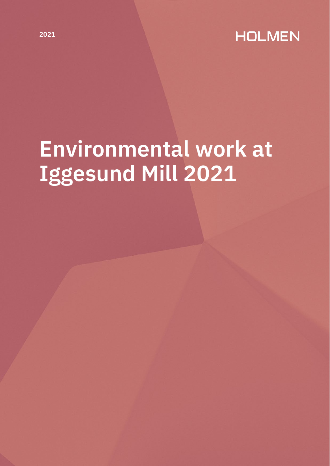

# **Environmental work at Iggesund Mill 2021**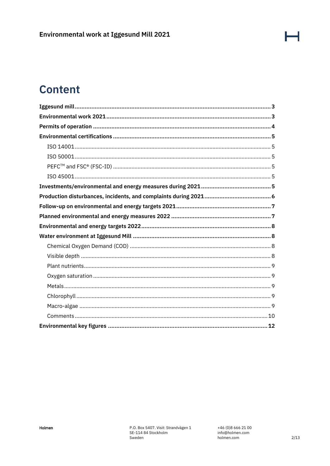## **Content**

Н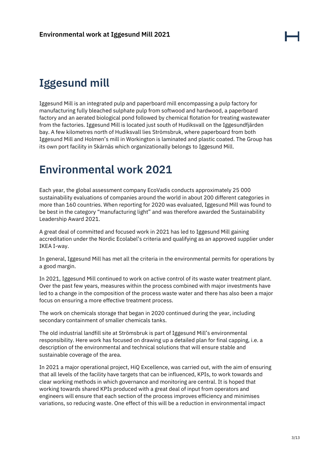## <span id="page-2-0"></span>**Iggesund mill**

Iggesund Mill is an integrated pulp and paperboard mill encompassing a pulp factory for manufacturing fully bleached sulphate pulp from softwood and hardwood, a paperboard factory and an aerated biological pond followed by chemical flotation for treating wastewater from the factories. Iggesund Mill is located just south of Hudiksvall on the Iggesundfjärden bay. A few kilometres north of Hudiksvall lies Strömsbruk, where paperboard from both Iggesund Mill and Holmen's mill in Workington is laminated and plastic coated. The Group has its own port facility in Skärnäs which organizationally belongs to Iggesund Mill.

## <span id="page-2-1"></span>**Environmental work 2021**

Each year, the global assessment company EcoVadis conducts approximately 25 000 sustainability evaluations of companies around the world in about 200 different categories in more than 160 countries. When reporting for 2020 was evaluated, Iggesund Mill was found to be best in the category "manufacturing light" and was therefore awarded the Sustainability Leadership Award 2021.

A great deal of committed and focused work in 2021 has led to Iggesund Mill gaining accreditation under the Nordic Ecolabel's criteria and qualifying as an approved supplier under IKEA I-way.

In general, Iggesund Mill has met all the criteria in the environmental permits for operations by a good margin.

In 2021, Iggesund Mill continued to work on active control of its waste water treatment plant. Over the past few years, measures within the process combined with major investments have led to a change in the composition of the process waste water and there has also been a major focus on ensuring a more effective treatment process.

The work on chemicals storage that began in 2020 continued during the year, including secondary containment of smaller chemicals tanks.

The old industrial landfill site at Strömsbruk is part of Iggesund Mill's environmental responsibility. Here work has focused on drawing up a detailed plan for final capping, i.e. a description of the environmental and technical solutions that will ensure stable and sustainable coverage of the area.

In 2021 a major operational project, HiQ Excellence, was carried out, with the aim of ensuring that all levels of the facility have targets that can be influenced, KPIs, to work towards and clear working methods in which governance and monitoring are central. It is hoped that working towards shared KPIs produced with a great deal of input from operators and engineers will ensure that each section of the process improves efficiency and minimises variations, so reducing waste. One effect of this will be a reduction in environmental impact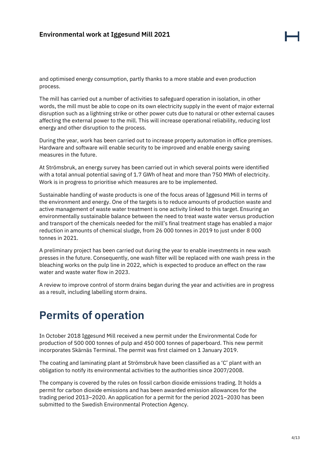and optimised energy consumption, partly thanks to a more stable and even production process.

The mill has carried out a number of activities to safeguard operation in isolation, in other words, the mill must be able to cope on its own electricity supply in the event of major external disruption such as a lightning strike or other power cuts due to natural or other external causes affecting the external power to the mill. This will increase operational reliability, reducing lost energy and other disruption to the process.

During the year, work has been carried out to increase property automation in office premises. Hardware and software will enable security to be improved and enable energy saving measures in the future.

At Strömsbruk, an energy survey has been carried out in which several points were identified with a total annual potential saving of 1.7 GWh of heat and more than 750 MWh of electricity. Work is in progress to prioritise which measures are to be implemented.

Sustainable handling of waste products is one of the focus areas of Iggesund Mill in terms of the environment and energy. One of the targets is to reduce amounts of production waste and active management of waste water treatment is one activity linked to this target. Ensuring an environmentally sustainable balance between the need to treat waste water versus production and transport of the chemicals needed for the mill's final treatment stage has enabled a major reduction in amounts of chemical sludge, from 26 000 tonnes in 2019 to just under 8 000 tonnes in 2021.

A preliminary project has been carried out during the year to enable investments in new wash presses in the future. Consequently, one wash filter will be replaced with one wash press in the bleaching works on the pulp line in 2022, which is expected to produce an effect on the raw water and waste water flow in 2023.

A review to improve control of storm drains began during the year and activities are in progress as a result, including labelling storm drains.

## <span id="page-3-0"></span>**Permits of operation**

In October 2018 Iggesund Mill received a new permit under the Environmental Code for production of 500 000 tonnes of pulp and 450 000 tonnes of paperboard. This new permit incorporates Skärnäs Terminal. The permit was first claimed on 1 January 2019.

The coating and laminating plant at Strömsbruk have been classified as a 'C' plant with an obligation to notify its environmental activities to the authorities since 2007/2008.

The company is covered by the rules on fossil carbon dioxide emissions trading. It holds a permit for carbon dioxide emissions and has been awarded emission allowances for the trading period 2013–2020. An application for a permit for the period 2021–2030 has been submitted to the Swedish Environmental Protection Agency.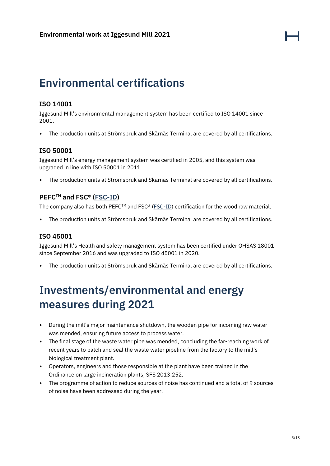## <span id="page-4-0"></span>**Environmental certifications**

### <span id="page-4-1"></span>**ISO 14001**

Iggesund Mill's environmental management system has been certified to ISO 14001 since 2001.

• The production units at Strömsbruk and Skärnäs Terminal are covered by all certifications.

### <span id="page-4-2"></span>**ISO 50001**

Iggesund Mill's energy management system was certified in 2005, and this system was upgraded in line with ISO 50001 in 2011.

• The production units at Strömsbruk and Skärnäs Terminal are covered by all certifications.

### <span id="page-4-3"></span>**PEFCTM and FSC® [\(FSC-ID\)](https://www.holmen.com/en/sustainability/our-sustainability-work/permits-certificates-management-systems/holmens-license-number/)**

The company also has both PEFC<sup>TM</sup> and FSC® [\(FSC-ID\)](https://www.holmen.com/en/sustainability/our-sustainability-work/permits-certificates-management-systems/holmens-license-number/) certification for the wood raw material.

• The production units at Strömsbruk and Skärnäs Terminal are covered by all certifications.

### <span id="page-4-4"></span>**ISO 45001**

Iggesund Mill's Health and safety management system has been certified under OHSAS 18001 since September 2016 and was upgraded to ISO 45001 in 2020.

• The production units at Strömsbruk and Skärnäs Terminal are covered by all certifications.

## <span id="page-4-5"></span>**Investments/environmental and energy measures during 2021**

- During the mill's major maintenance shutdown, the wooden pipe for incoming raw water was mended, ensuring future access to process water.
- The final stage of the waste water pipe was mended, concluding the far-reaching work of recent years to patch and seal the waste water pipeline from the factory to the mill's biological treatment plant.
- Operators, engineers and those responsible at the plant have been trained in the Ordinance on large incineration plants, SFS 2013:252.
- The programme of action to reduce sources of noise has continued and a total of 9 sources of noise have been addressed during the year.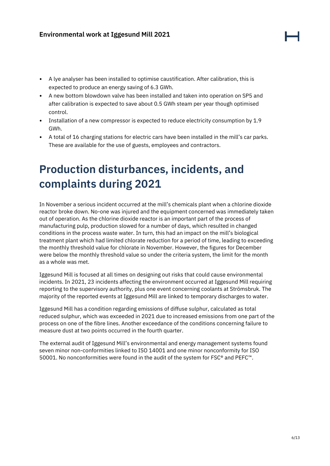- A lye analyser has been installed to optimise caustification. After calibration, this is expected to produce an energy saving of 6.3 GWh.
- A new bottom blowdown valve has been installed and taken into operation on SP5 and after calibration is expected to save about 0.5 GWh steam per year though optimised control.
- Installation of a new compressor is expected to reduce electricity consumption by 1.9 GWh.
- A total of 16 charging stations for electric cars have been installed in the mill's car parks. These are available for the use of guests, employees and contractors.

## <span id="page-5-0"></span>**Production disturbances, incidents, and complaints during 2021**

In November a serious incident occurred at the mill's chemicals plant when a chlorine dioxide reactor broke down. No-one was injured and the equipment concerned was immediately taken out of operation. As the chlorine dioxide reactor is an important part of the process of manufacturing pulp, production slowed for a number of days, which resulted in changed conditions in the process waste water. In turn, this had an impact on the mill's biological treatment plant which had limited chlorate reduction for a period of time, leading to exceeding the monthly threshold value for chlorate in November. However, the figures for December were below the monthly threshold value so under the criteria system, the limit for the month as a whole was met.

Iggesund Mill is focused at all times on designing out risks that could cause environmental incidents. In 2021, 23 incidents affecting the environment occurred at Iggesund Mill requiring reporting to the supervisory authority, plus one event concerning coolants at Strömsbruk. The majority of the reported events at Iggesund Mill are linked to temporary discharges to water.

Iggesund Mill has a condition regarding emissions of diffuse sulphur, calculated as total reduced sulphur, which was exceeded in 2021 due to increased emissions from one part of the process on one of the fibre lines. Another exceedance of the conditions concerning failure to measure dust at two points occurred in the fourth quarter.

The external audit of Iggesund Mill's environmental and energy management systems found seven minor non-conformities linked to ISO 14001 and one minor nonconformity for ISO 50001. No nonconformities were found in the audit of the system for FSC® and PEFC™.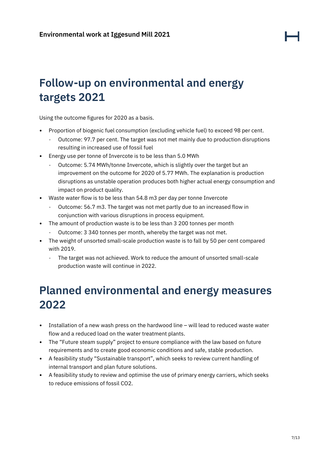## <span id="page-6-0"></span>**Follow-up on environmental and energy targets 2021**

Using the outcome figures for 2020 as a basis.

- Proportion of biogenic fuel consumption (excluding vehicle fuel) to exceed 98 per cent.
	- ˗ Outcome: 97.7 per cent. The target was not met mainly due to production disruptions resulting in increased use of fossil fuel
- Energy use per tonne of Invercote is to be less than 5.0 MWh
	- Outcome: 5.74 MWh/tonne Invercote, which is slightly over the target but an improvement on the outcome for 2020 of 5.77 MWh. The explanation is production disruptions as unstable operation produces both higher actual energy consumption and impact on product quality.
- Waste water flow is to be less than 54.8 m3 per day per tonne Invercote
	- ˗ Outcome: 56.7 m3. The target was not met partly due to an increased flow in conjunction with various disruptions in process equipment.
- The amount of production waste is to be less than 3 200 tonnes per month
	- Outcome: 3 340 tonnes per month, whereby the target was not met.
- The weight of unsorted small-scale production waste is to fall by 50 per cent compared with 2019.
	- ˗ The target was not achieved. Work to reduce the amount of unsorted small-scale production waste will continue in 2022.

## <span id="page-6-1"></span>**Planned environmental and energy measures 2022**

- Installation of a new wash press on the hardwood line will lead to reduced waste water flow and a reduced load on the water treatment plants.
- The "Future steam supply" project to ensure compliance with the law based on future requirements and to create good economic conditions and safe, stable production.
- A feasibility study "Sustainable transport", which seeks to review current handling of internal transport and plan future solutions.
- A feasibility study to review and optimise the use of primary energy carriers, which seeks to reduce emissions of fossil CO2.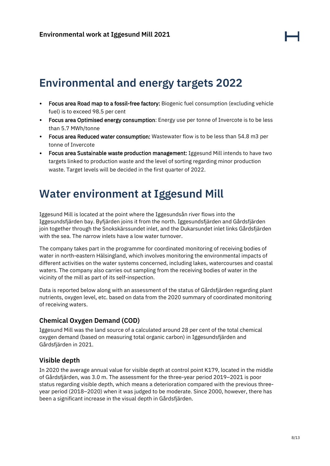## <span id="page-7-0"></span>**Environmental and energy targets 2022**

- Focus area Road map to a fossil-free factory: Biogenic fuel consumption (excluding vehicle fuel) is to exceed 98.5 per cent
- Focus area Optimised energy consumption: Energy use per tonne of Invercote is to be less than 5.7 MWh/tonne
- Focus area Reduced water consumption: Wastewater flow is to be less than 54.8 m3 per tonne of Invercote
- Focus area Sustainable waste production management: Iggesund Mill intends to have two targets linked to production waste and the level of sorting regarding minor production waste. Target levels will be decided in the first quarter of 2022.

## <span id="page-7-1"></span>**Water environment at Iggesund Mill**

Iggesund Mill is located at the point where the Iggesundsån river flows into the Iggesundsfjärden bay. Byfjärden joins it from the north. Iggesundsfjärden and Gårdsfjärden join together through the Snokskärssundet inlet, and the Dukarsundet inlet links Gårdsfjärden with the sea. The narrow inlets have a low water turnover.

The company takes part in the programme for coordinated monitoring of receiving bodies of water in north-eastern Hälsingland, which involves monitoring the environmental impacts of different activities on the water systems concerned, including lakes, watercourses and coastal waters. The company also carries out sampling from the receiving bodies of water in the vicinity of the mill as part of its self-inspection.

Data is reported below along with an assessment of the status of Gårdsfjärden regarding plant nutrients, oxygen level, etc. based on data from the 2020 summary of coordinated monitoring of receiving waters.

### <span id="page-7-2"></span>**Chemical Oxygen Demand (COD)**

Iggesund Mill was the land source of a calculated around 28 per cent of the total chemical oxygen demand (based on measuring total organic carbon) in Iggesundsfjärden and Gårdsfjärden in 2021.

### <span id="page-7-3"></span>**Visible depth**

In 2020 the average annual value for visible depth at control point K179, located in the middle of Gårdsfjärden, was 3.0 m. The assessment for the three-year period 2019–2021 is poor status regarding visible depth, which means a deterioration compared with the previous threeyear period (2018–2020) when it was judged to be moderate. Since 2000, however, there has been a significant increase in the visual depth in Gårdsfjärden.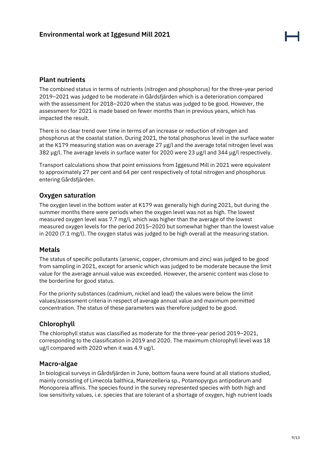### <span id="page-8-0"></span>**Plant nutrients**

The combined status in terms of nutrients (nitrogen and phosphorus) for the three-year period 2019–2021 was judged to be moderate in Gårdsfjärden which is a deterioration compared with the assessment for 2018–2020 when the status was judged to be good. However, the assessment for 2021 is made based on fewer months than in previous years, which has impacted the result.

There is no clear trend over time in terms of an increase or reduction of nitrogen and phosphorus at the coastal station. During 2021, the total phosphorus level in the surface water at the K179 measuring station was on average 27 µg/l and the average total nitrogen level was 382 µg/l. The average levels in surface water for 2020 were 23 µg/l and 344 µg/l respectively.

Transport calculations show that point emissions from Iggesund Mill in 2021 were equivalent to approximately 27 per cent and 64 per cent respectively of total nitrogen and phosphorus entering Gårdsfjärden.

### <span id="page-8-1"></span>**Oxygen saturation**

The oxygen level in the bottom water at K179 was generally high during 2021, but during the summer months there were periods when the oxygen level was not as high. The lowest measured oxygen level was 7.7 mg/l, which was higher than the average of the lowest measured oxygen levels for the period 2015–2020 but somewhat higher than the lowest value in 2020 (7.1 mg/l). The oxygen status was judged to be high overall at the measuring station.

### <span id="page-8-2"></span>**Metals**

The status of specific pollutants (arsenic, copper, chromium and zinc) was judged to be good from sampling in 2021, except for arsenic which was judged to be moderate because the limit value for the average annual value was exceeded. However, the arsenic content was close to the borderline for good status.

For the priority substances (cadmium, nickel and lead) the values were below the limit values/assessment criteria in respect of average annual value and maximum permitted concentration. The status of these parameters was therefore judged to be good.

### <span id="page-8-3"></span>**Chlorophyll**

The chlorophyll status was classified as moderate for the three-year period 2019–2021, corresponding to the classification in 2019 and 2020. The maximum chlorophyll level was 18 ug/l compared with 2020 when it was 4.9 ug/l.

### <span id="page-8-4"></span>**Macro-algae**

In biological surveys in Gårdsfjärden in June, bottom fauna were found at all stations studied, mainly consisting of Limecola balthica, Marenzelleria sp., Potamopyrgus antipodarum and Monoporeia affinis. The species found in the survey represented species with both high and low sensitivity values, i.e. species that are tolerant of a shortage of oxygen, high nutrient loads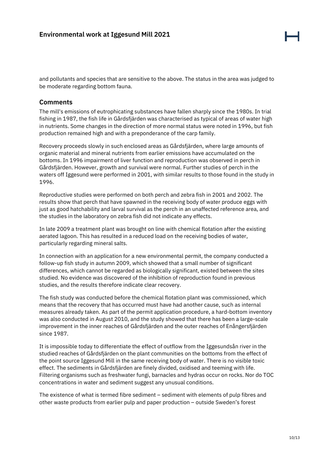and pollutants and species that are sensitive to the above. The status in the area was judged to be moderate regarding bottom fauna.

### <span id="page-9-0"></span>**Comments**

The mill's emissions of eutrophicating substances have fallen sharply since the 1980s. In trial fishing in 1987, the fish life in Gårdsfjärden was characterised as typical of areas of water high in nutrients. Some changes in the direction of more normal status were noted in 1996, but fish production remained high and with a preponderance of the carp family.

Recovery proceeds slowly in such enclosed areas as Gårdsfjärden, where large amounts of organic material and mineral nutrients from earlier emissions have accumulated on the bottoms. In 1996 impairment of liver function and reproduction was observed in perch in Gårdsfjärden. However, growth and survival were normal. Further studies of perch in the waters off Iggesund were performed in 2001, with similar results to those found in the study in 1996.

Reproductive studies were performed on both perch and zebra fish in 2001 and 2002. The results show that perch that have spawned in the receiving body of water produce eggs with just as good hatchability and larval survival as the perch in an unaffected reference area, and the studies in the laboratory on zebra fish did not indicate any effects.

In late 2009 a treatment plant was brought on line with chemical flotation after the existing aerated lagoon. This has resulted in a reduced load on the receiving bodies of water, particularly regarding mineral salts.

In connection with an application for a new environmental permit, the company conducted a follow-up fish study in autumn 2009, which showed that a small number of significant differences, which cannot be regarded as biologically significant, existed between the sites studied. No evidence was discovered of the inhibition of reproduction found in previous studies, and the results therefore indicate clear recovery.

The fish study was conducted before the chemical flotation plant was commissioned, which means that the recovery that has occurred must have had another cause, such as internal measures already taken. As part of the permit application procedure, a hard-bottom inventory was also conducted in August 2010, and the study showed that there has been a large-scale improvement in the inner reaches of Gårdsfjärden and the outer reaches of Enångersfjärden since 1987.

It is impossible today to differentiate the effect of outflow from the Iggesundsån river in the studied reaches of Gårdsfjärden on the plant communities on the bottoms from the effect of the point source Iggesund Mill in the same receiving body of water. There is no visible toxic effect. The sediments in Gårdsfjärden are finely divided, oxidised and teeming with life. Filtering organisms such as freshwater fungi, barnacles and hydras occur on rocks. Nor do TOC concentrations in water and sediment suggest any unusual conditions.

The existence of what is termed fibre sediment – sediment with elements of pulp fibres and other waste products from earlier pulp and paper production – outside Sweden's forest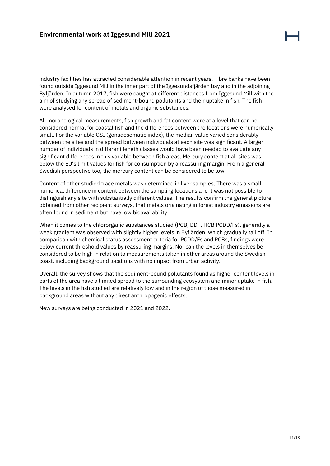industry facilities has attracted considerable attention in recent years. Fibre banks have been found outside Iggesund Mill in the inner part of the Iggesundsfjärden bay and in the adjoining Byfjärden. In autumn 2017, fish were caught at different distances from Iggesund Mill with the aim of studying any spread of sediment-bound pollutants and their uptake in fish. The fish were analysed for content of metals and organic substances.

All morphological measurements, fish growth and fat content were at a level that can be considered normal for coastal fish and the differences between the locations were numerically small. For the variable GSI (gonadosomatic index), the median value varied considerably between the sites and the spread between individuals at each site was significant. A larger number of individuals in different length classes would have been needed to evaluate any significant differences in this variable between fish areas. Mercury content at all sites was below the EU's limit values for fish for consumption by a reassuring margin. From a general Swedish perspective too, the mercury content can be considered to be low.

Content of other studied trace metals was determined in liver samples. There was a small numerical difference in content between the sampling locations and it was not possible to distinguish any site with substantially different values. The results confirm the general picture obtained from other recipient surveys, that metals originating in forest industry emissions are often found in sediment but have low bioavailability.

When it comes to the chlororganic substances studied (PCB, DDT, HCB PCDD/Fs), generally a weak gradient was observed with slightly higher levels in Byfjärden, which gradually tail off. In comparison with chemical status assessment criteria for PCDD/Fs and PCBs, findings were below current threshold values by reassuring margins. Nor can the levels in themselves be considered to be high in relation to measurements taken in other areas around the Swedish coast, including background locations with no impact from urban activity.

Overall, the survey shows that the sediment-bound pollutants found as higher content levels in parts of the area have a limited spread to the surrounding ecosystem and minor uptake in fish. The levels in the fish studied are relatively low and in the region of those measured in background areas without any direct anthropogenic effects.

New surveys are being conducted in 2021 and 2022.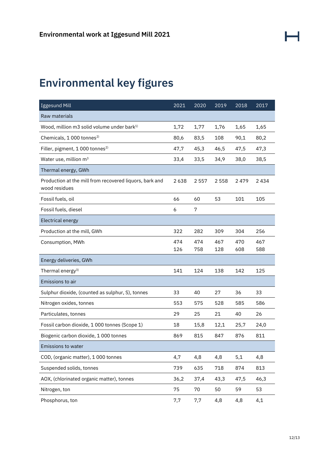## <span id="page-11-0"></span>**Environmental key figures**

| <b>Iggesund Mill</b>                                                     | 2021       | 2020       | 2019       | 2018       | 2017       |
|--------------------------------------------------------------------------|------------|------------|------------|------------|------------|
| Raw materials                                                            |            |            |            |            |            |
| Wood, million m3 solid volume under bark <sup>1)</sup>                   | 1,72       | 1,77       | 1,76       | 1,65       | 1,65       |
| Chemicals, 1 000 tonnes <sup>2)</sup>                                    | 80,6       | 83,5       | 108        | 90,1       | 80,2       |
| Filler, pigment, 1 000 tonnes <sup>2)</sup>                              | 47,7       | 45,3       | 46,5       | 47,5       | 47,3       |
| Water use, million m <sup>3</sup>                                        | 33,4       | 33,5       | 34,9       | 38,0       | 38,5       |
| Thermal energy, GWh                                                      |            |            |            |            |            |
| Production at the mill from recovered liquors, bark and<br>wood residues | 2638       | 2557       | 2558       | 2479       | 2434       |
| Fossil fuels, oil                                                        | 66         | 60         | 53         | 101        | 105        |
| Fossil fuels, diesel                                                     | 6          | 7          |            |            |            |
| Electrical energy                                                        |            |            |            |            |            |
| Production at the mill, GWh                                              | 322        | 282        | 309        | 304        | 256        |
| Consumption, MWh                                                         | 474<br>126 | 474<br>758 | 467<br>128 | 470<br>608 | 467<br>588 |
| Energy deliveries, GWh                                                   |            |            |            |            |            |
| Thermal energy <sup>3)</sup>                                             | 141        | 124        | 138        | 142        | 125        |
| Emissions to air                                                         |            |            |            |            |            |
| Sulphur dioxide, (counted as sulphur, S), tonnes                         | 33         | 40         | 27         | 36         | 33         |
| Nitrogen oxides, tonnes                                                  | 553        | 575        | 528        | 585        | 586        |
| Particulates, tonnes                                                     | 29         | 25         | 21         | 40         | 26         |
| Fossil carbon dioxide, 1 000 tonnes (Scope 1)                            | 18         | 15,8       | 12,1       | 25,7       | 24,0       |
| Biogenic carbon dioxide, 1 000 tonnes                                    | 869        | 815        | 847        | 876        | 811        |
| Emissions to water                                                       |            |            |            |            |            |
| COD, (organic matter), 1 000 tonnes                                      | 4,7        | 4,8        | 4,8        | 5,1        | 4,8        |
| Suspended solids, tonnes                                                 | 739        | 635        | 718        | 874        | 813        |
| AOX, (chlorinated organic matter), tonnes                                | 36,2       | 37,4       | 43,3       | 47,5       | 46,3       |
| Nitrogen, ton                                                            | 75         | 70         | 50         | 59         | 53         |
| Phosphorus, ton                                                          | 7,7        | 7,7        | 4,8        | 4,8        | 4,1        |